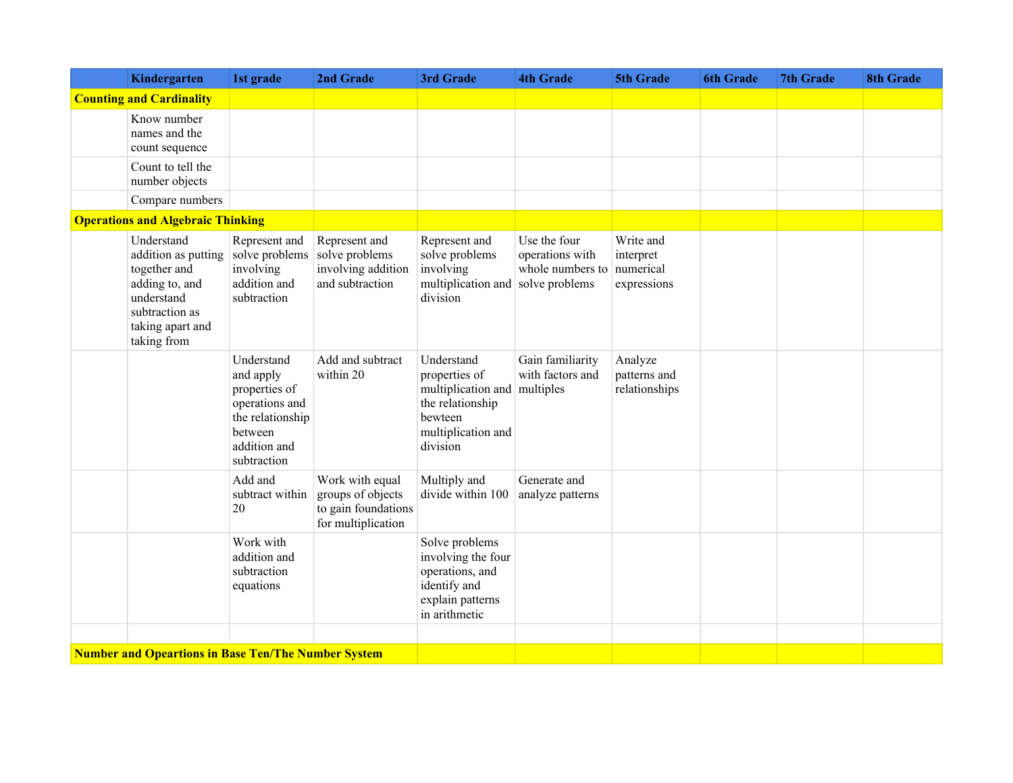| Kindergarten                                                                                                                           | 1st grade                                                                                                                | 2nd Grade                                                                         | 3rd Grade                                                                                                          | <b>4th Grade</b>                                                      | 5th Grade                                          | <b>6th Grade</b> | <b>7th Grade</b> | <b>8th Grade</b> |
|----------------------------------------------------------------------------------------------------------------------------------------|--------------------------------------------------------------------------------------------------------------------------|-----------------------------------------------------------------------------------|--------------------------------------------------------------------------------------------------------------------|-----------------------------------------------------------------------|----------------------------------------------------|------------------|------------------|------------------|
| <b>Counting and Cardinality</b>                                                                                                        |                                                                                                                          |                                                                                   |                                                                                                                    |                                                                       |                                                    |                  |                  |                  |
| Know number<br>names and the<br>count sequence                                                                                         |                                                                                                                          |                                                                                   |                                                                                                                    |                                                                       |                                                    |                  |                  |                  |
| Count to tell the<br>number objects                                                                                                    |                                                                                                                          |                                                                                   |                                                                                                                    |                                                                       |                                                    |                  |                  |                  |
| Compare numbers                                                                                                                        |                                                                                                                          |                                                                                   |                                                                                                                    |                                                                       |                                                    |                  |                  |                  |
| <b>Operations and Algebraic Thinking</b>                                                                                               |                                                                                                                          |                                                                                   |                                                                                                                    |                                                                       |                                                    |                  |                  |                  |
| Understand<br>addition as putting<br>together and<br>adding to, and<br>understand<br>subtraction as<br>taking apart and<br>taking from | Represent and<br>solve problems<br>involving<br>addition and<br>subtraction                                              | Represent and<br>solve problems<br>involving addition<br>and subtraction          | Represent and<br>solve problems<br>involving<br>multiplication and<br>division                                     | Use the four<br>operations with<br>whole numbers to<br>solve problems | Write and<br>interpret<br>numerical<br>expressions |                  |                  |                  |
|                                                                                                                                        | Understand<br>and apply<br>properties of<br>operations and<br>the relationship<br>between<br>addition and<br>subtraction | Add and subtract<br>within 20                                                     | Understand<br>properties of<br>multiplication and<br>the relationship<br>bewteen<br>multiplication and<br>division | Gain familiarity<br>with factors and<br>multiples                     | Analyze<br>patterns and<br>relationships           |                  |                  |                  |
|                                                                                                                                        | Add and<br>subtract within<br>20                                                                                         | Work with equal<br>groups of objects<br>to gain foundations<br>for multiplication | Multiply and<br>divide within 100                                                                                  | Generate and<br>analyze patterns                                      |                                                    |                  |                  |                  |
|                                                                                                                                        | Work with<br>addition and<br>subtraction<br>equations                                                                    |                                                                                   | Solve problems<br>involving the four<br>operations, and<br>identify and<br>explain patterns<br>in arithmetic       |                                                                       |                                                    |                  |                  |                  |
| <b>Number and Opeartions in Base Ten/The Number System</b>                                                                             |                                                                                                                          |                                                                                   |                                                                                                                    |                                                                       |                                                    |                  |                  |                  |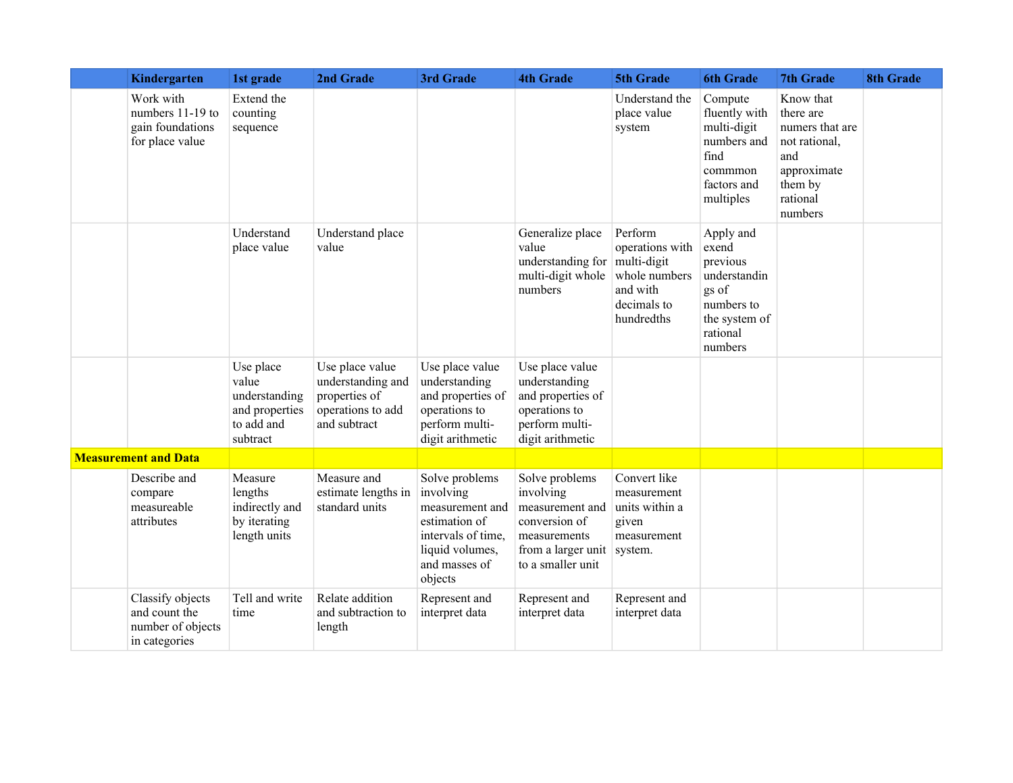| Kindergarten                                                            | 1st grade                                                                       | 2nd Grade                                                                                  | 3rd Grade                                                                                                                            | <b>4th Grade</b>                                                                                                           | 5th Grade                                                                                           | <b>6th Grade</b>                                                                                              | <b>7th Grade</b>                                                                                                   | <b>8th Grade</b> |
|-------------------------------------------------------------------------|---------------------------------------------------------------------------------|--------------------------------------------------------------------------------------------|--------------------------------------------------------------------------------------------------------------------------------------|----------------------------------------------------------------------------------------------------------------------------|-----------------------------------------------------------------------------------------------------|---------------------------------------------------------------------------------------------------------------|--------------------------------------------------------------------------------------------------------------------|------------------|
| Work with<br>numbers 11-19 to<br>gain foundations<br>for place value    | Extend the<br>counting<br>sequence                                              |                                                                                            |                                                                                                                                      |                                                                                                                            | Understand the<br>place value<br>system                                                             | Compute<br>fluently with<br>multi-digit<br>numbers and<br>find<br>commmon<br>factors and<br>multiples         | Know that<br>there are<br>numers that are<br>not rational,<br>and<br>approximate<br>them by<br>rational<br>numbers |                  |
|                                                                         | Understand<br>place value                                                       | Understand place<br>value                                                                  |                                                                                                                                      | Generalize place<br>value<br>understanding for<br>multi-digit whole<br>numbers                                             | Perform<br>operations with<br>multi-digit<br>whole numbers<br>and with<br>decimals to<br>hundredths | Apply and<br>exend<br>previous<br>understandin<br>gs of<br>numbers to<br>the system of<br>rational<br>numbers |                                                                                                                    |                  |
|                                                                         | Use place<br>value<br>understanding<br>and properties<br>to add and<br>subtract | Use place value<br>understanding and<br>properties of<br>operations to add<br>and subtract | Use place value<br>understanding<br>and properties of<br>operations to<br>perform multi-<br>digit arithmetic                         | Use place value<br>understanding<br>and properties of<br>operations to<br>perform multi-<br>digit arithmetic               |                                                                                                     |                                                                                                               |                                                                                                                    |                  |
| <b>Measurement and Data</b>                                             |                                                                                 |                                                                                            |                                                                                                                                      |                                                                                                                            |                                                                                                     |                                                                                                               |                                                                                                                    |                  |
| Describe and<br>compare<br>measureable<br>attributes                    | Measure<br>lengths<br>indirectly and<br>by iterating<br>length units            | Measure and<br>estimate lengths in<br>standard units                                       | Solve problems<br>involving<br>measurement and<br>estimation of<br>intervals of time,<br>liquid volumes,<br>and masses of<br>objects | Solve problems<br>involving<br>measurement and<br>conversion of<br>measurements<br>from a larger unit<br>to a smaller unit | Convert like<br>measurement<br>units within a<br>given<br>measurement<br>system.                    |                                                                                                               |                                                                                                                    |                  |
| Classify objects<br>and count the<br>number of objects<br>in categories | Tell and write<br>time                                                          | Relate addition<br>and subtraction to<br>length                                            | Represent and<br>interpret data                                                                                                      | Represent and<br>interpret data                                                                                            | Represent and<br>interpret data                                                                     |                                                                                                               |                                                                                                                    |                  |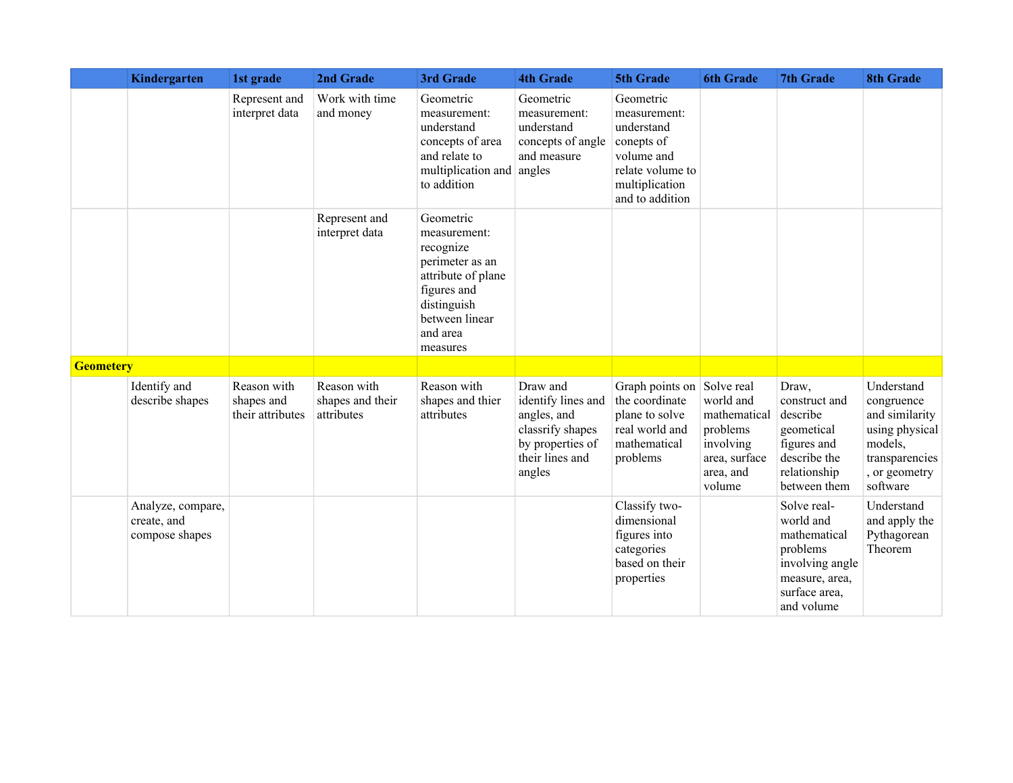|                  | Kindergarten                                       | 1st grade                                     | 2nd Grade                                     | 3rd Grade                                                                                                                                               | <b>4th Grade</b>                                                                                                   | 5th Grade                                                                                                                    | <b>6th Grade</b>                                                                           | <b>7th Grade</b>                                                                                                         | <b>8th Grade</b>                                                                                                       |
|------------------|----------------------------------------------------|-----------------------------------------------|-----------------------------------------------|---------------------------------------------------------------------------------------------------------------------------------------------------------|--------------------------------------------------------------------------------------------------------------------|------------------------------------------------------------------------------------------------------------------------------|--------------------------------------------------------------------------------------------|--------------------------------------------------------------------------------------------------------------------------|------------------------------------------------------------------------------------------------------------------------|
|                  |                                                    | Represent and<br>interpret data               | Work with time<br>and money                   | Geometric<br>measurement:<br>understand<br>concepts of area<br>and relate to<br>multiplication and<br>to addition                                       | Geometric<br>measurement:<br>understand<br>concepts of angle<br>and measure<br>angles                              | Geometric<br>measurement:<br>understand<br>conepts of<br>volume and<br>relate volume to<br>multiplication<br>and to addition |                                                                                            |                                                                                                                          |                                                                                                                        |
|                  |                                                    |                                               | Represent and<br>interpret data               | Geometric<br>measurement:<br>recognize<br>perimeter as an<br>attribute of plane<br>figures and<br>distinguish<br>between linear<br>and area<br>measures |                                                                                                                    |                                                                                                                              |                                                                                            |                                                                                                                          |                                                                                                                        |
| <b>Geometery</b> |                                                    |                                               |                                               |                                                                                                                                                         |                                                                                                                    |                                                                                                                              |                                                                                            |                                                                                                                          |                                                                                                                        |
|                  | Identify and<br>describe shapes                    | Reason with<br>shapes and<br>their attributes | Reason with<br>shapes and their<br>attributes | Reason with<br>shapes and thier<br>attributes                                                                                                           | Draw and<br>identify lines and<br>angles, and<br>classrify shapes<br>by properties of<br>their lines and<br>angles | Graph points on Solve real<br>the coordinate<br>plane to solve<br>real world and<br>mathematical<br>problems                 | world and<br>mathematical<br>problems<br>involving<br>area, surface<br>area, and<br>volume | Draw,<br>construct and<br>describe<br>geometical<br>figures and<br>describe the<br>relationship<br>between them          | Understand<br>congruence<br>and similarity<br>using physical<br>models,<br>transparencies<br>, or geometry<br>software |
|                  | Analyze, compare,<br>create, and<br>compose shapes |                                               |                                               |                                                                                                                                                         |                                                                                                                    | Classify two-<br>dimensional<br>figures into<br>categories<br>based on their<br>properties                                   |                                                                                            | Solve real-<br>world and<br>mathematical<br>problems<br>involving angle<br>measure, area,<br>surface area,<br>and volume | Understand<br>and apply the<br>Pythagorean<br>Theorem                                                                  |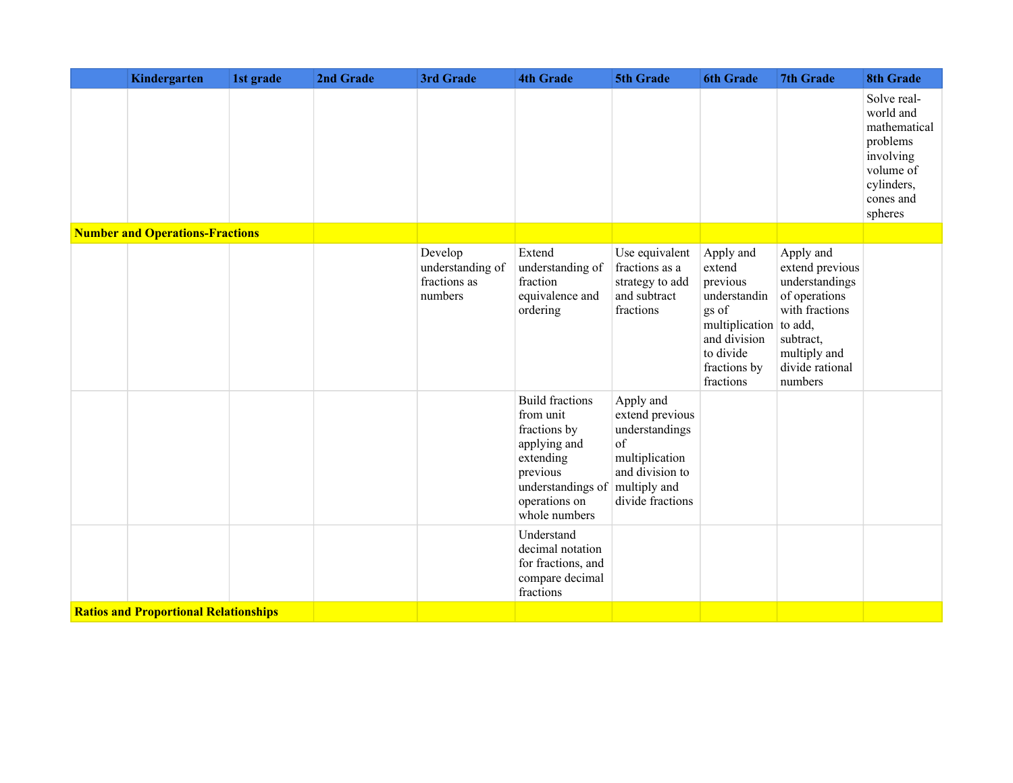| Kindergarten                                 | 1st grade | 2nd Grade | 3rd Grade                                              | <b>4th Grade</b>                                                                                                                                    | 5th Grade                                                                                                                     | <b>6th Grade</b>                                                                                                                             | <b>7th Grade</b>                                                                                                                             | <b>8th Grade</b>                                                                                                     |
|----------------------------------------------|-----------|-----------|--------------------------------------------------------|-----------------------------------------------------------------------------------------------------------------------------------------------------|-------------------------------------------------------------------------------------------------------------------------------|----------------------------------------------------------------------------------------------------------------------------------------------|----------------------------------------------------------------------------------------------------------------------------------------------|----------------------------------------------------------------------------------------------------------------------|
|                                              |           |           |                                                        |                                                                                                                                                     |                                                                                                                               |                                                                                                                                              |                                                                                                                                              | Solve real-<br>world and<br>mathematical<br>problems<br>involving<br>volume of<br>cylinders,<br>cones and<br>spheres |
| <b>Number and Operations-Fractions</b>       |           |           |                                                        |                                                                                                                                                     |                                                                                                                               |                                                                                                                                              |                                                                                                                                              |                                                                                                                      |
|                                              |           |           | Develop<br>understanding of<br>fractions as<br>numbers | Extend<br>understanding of<br>fraction<br>equivalence and<br>ordering                                                                               | Use equivalent<br>fractions as a<br>strategy to add<br>and subtract<br>fractions                                              | Apply and<br>extend<br>previous<br>understandin<br>gs of<br>multiplication to add,<br>and division<br>to divide<br>fractions by<br>fractions | Apply and<br>extend previous<br>understandings<br>of operations<br>with fractions<br>subtract,<br>multiply and<br>divide rational<br>numbers |                                                                                                                      |
|                                              |           |           |                                                        | <b>Build fractions</b><br>from unit<br>fractions by<br>applying and<br>extending<br>previous<br>understandings of<br>operations on<br>whole numbers | Apply and<br>extend previous<br>understandings<br>of<br>multiplication<br>and division to<br>multiply and<br>divide fractions |                                                                                                                                              |                                                                                                                                              |                                                                                                                      |
|                                              |           |           |                                                        | Understand<br>decimal notation<br>for fractions, and<br>compare decimal<br>fractions                                                                |                                                                                                                               |                                                                                                                                              |                                                                                                                                              |                                                                                                                      |
| <b>Ratios and Proportional Relationships</b> |           |           |                                                        |                                                                                                                                                     |                                                                                                                               |                                                                                                                                              |                                                                                                                                              |                                                                                                                      |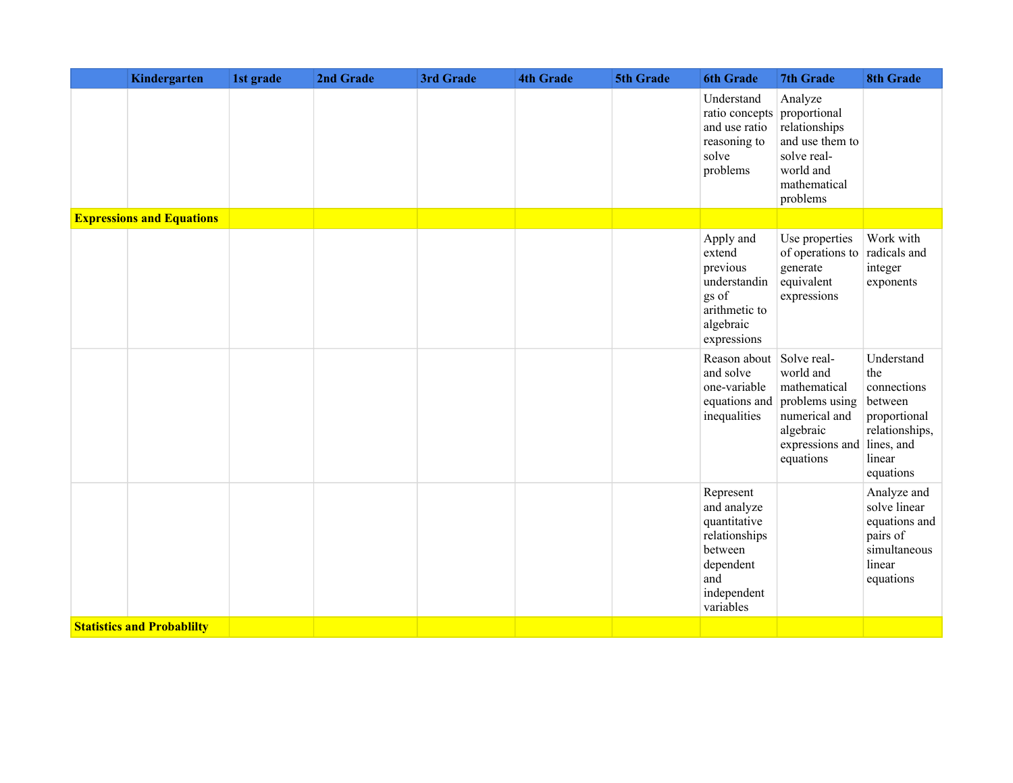| Kindergarten                      | 1st grade | 2nd Grade | 3rd Grade | <b>4th Grade</b> | 5th Grade | <b>6th Grade</b>                                                                                                     | 7th Grade                                                                                                 | <b>8th Grade</b>                                                                                                   |
|-----------------------------------|-----------|-----------|-----------|------------------|-----------|----------------------------------------------------------------------------------------------------------------------|-----------------------------------------------------------------------------------------------------------|--------------------------------------------------------------------------------------------------------------------|
|                                   |           |           |           |                  |           | Understand<br>ratio concepts proportional<br>and use ratio<br>reasoning to<br>solve<br>problems                      | Analyze<br>relationships<br>and use them to<br>solve real-<br>world and<br>mathematical<br>problems       |                                                                                                                    |
| <b>Expressions and Equations</b>  |           |           |           |                  |           |                                                                                                                      |                                                                                                           |                                                                                                                    |
|                                   |           |           |           |                  |           | Apply and<br>extend<br>previous<br>understandin<br>gs of<br>arithmetic to<br>algebraic<br>expressions                | Use properties<br>of operations to<br>generate<br>equivalent<br>expressions                               | Work with<br>radicals and<br>integer<br>exponents                                                                  |
|                                   |           |           |           |                  |           | Reason about Solve real-<br>and solve<br>one-variable<br>equations and<br>inequalities                               | world and<br>mathematical<br>problems using<br>numerical and<br>algebraic<br>expressions and<br>equations | Understand<br>the<br>connections<br>between<br>proportional<br>relationships,<br>lines, and<br>linear<br>equations |
|                                   |           |           |           |                  |           | Represent<br>and analyze<br>quantitative<br>relationships<br>between<br>dependent<br>and<br>independent<br>variables |                                                                                                           | Analyze and<br>solve linear<br>equations and<br>pairs of<br>simultaneous<br>linear<br>equations                    |
| <b>Statistics and Probablilty</b> |           |           |           |                  |           |                                                                                                                      |                                                                                                           |                                                                                                                    |